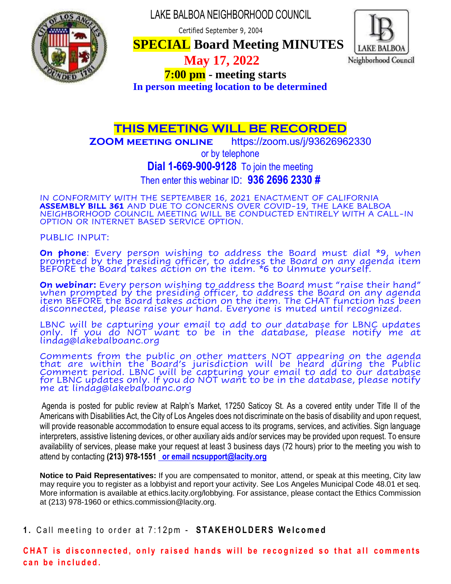LAKE BALBOA NEIGHBORHOOD COUNCIL

Certified September 9, 2004



 **SPECIAL Board Meeting MINUTES**



 **May 17, 2022** 

 **7:00 pm - meeting starts**

**In person meeting location to be determined**

# **THIS MEETING WILL BE RECORDED**

**ZOOM meeting online** https://zoom.us/j/93626962330

or by telephone

**Dial 1-669-900-9128** To join the meeting

Then enter this webinar ID: **936 2696 2330 #**

IN CONFORMITY WITH THE SEPTEMBER 16, 2021 ENACTMENT OF CALIFORNIA **ASSEMBLY BILL 361** AND DUE TO CONCERNS OVER COVID-19, THE LAKE BALBOA NEIGHBORHOOD COUNCIL MEETING WILL BE CONDUCTED ENTIRELY WITH A CALL-IN OPTION OR INTERNET BASED SERVICE OPTION.

PUBLIC INPUT:

**On phone**: Every person wishing to address the Board must dial \*9, when prompted by the presiding officer, to address the Board on any agenda item BEFORE the Board takes action on the item. \*6 to Unmute yourself.

**On webinar:** Every person wishing to address the Board must "raise their hand" when prompted by the presiding officer, to address the Board on any agenda item BEFORE the Board takes action on the item. The CHAT function has been disconnected, please raise your hand. Everyone is muted until recognized.

LBNC will be capturing your email to add to our database for LBNC updates only. If you do NOT want to be in the database, please notify me at lindag@lakebalboanc.org

Comments from the public on other matters NOT appearing on the agenda that are within the Board's jurisdiction will be heard during the Public Comment period. LBNC will be capturing your email to add to our database for LBNC updates only. If you do NOT want to be in the database, please notify me at lindag@lakebalboańc.org

Agenda is posted for public review at Ralph's Market, 17250 Saticoy St. As a covered entity under Title II of the Americans with Disabilities Act, the City of Los Angeles does not discriminate on the basis of disability and upon request, will provide reasonable accommodation to ensure equal access to its programs, services, and activities. Sign language interpreters, assistive listening devices, or other auxiliary aids and/or services may be provided upon request. To ensure availability of services, please make your request at least 3 business days (72 hours) prior to the meeting you wish to attend by contacting **(213) 978-1551 or email ncsupport@lacity.org**

**Notice to Paid Representatives:** If you are compensated to monitor, attend, or speak at this meeting, City law may require you to register as a lobbyist and report your activity. See Los Angeles Municipal Code 48.01 et seq. More information is available at ethics.lacity.org/lobbying. For assistance, please contact the Ethics Commission at (213) 978-1960 or ethics.commission@lacity.org.

**1.** Call meeting to order at 7:12pm - **STAKEHOLDERS Welcomed** 

CHAT is disconnected, only raised hands will be recognized so that all comments can be included.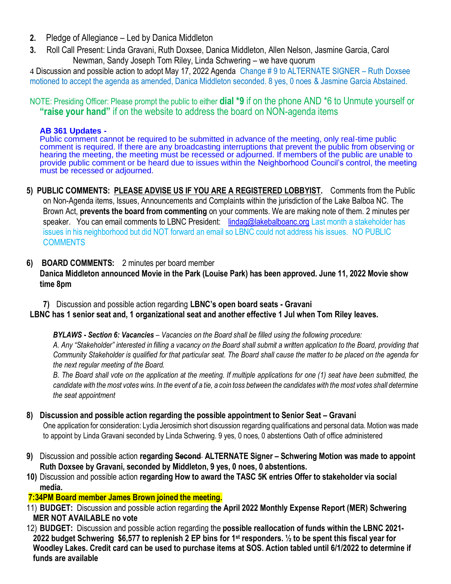- **2.** Pledge of Allegiance Led by Danica Middleton
- **3.** Roll Call Present: Linda Gravani, Ruth Doxsee, Danica Middleton, Allen Nelson, Jasmine Garcia, Carol Newman, Sandy Joseph Tom Riley, Linda Schwering – we have quorum

4 Discussion and possible action to adopt May 17, 2022 Agenda Change # 9 to ALTERNATE SIGNER – Ruth Doxsee motioned to accept the agenda as amended, Danica Middleton seconded. 8 yes, 0 noes & Jasmine Garcia Abstained.

NOTE: Presiding Officer: Please prompt the public to either **dial \*9** if on the phone AND \*6 to Unmute yourself or **"raise your hand"** if on the website to address the board on NON-agenda items

#### **AB 361 Updates -**

Public comment cannot be required to be submitted in advance of the meeting, only real-time public comment is required. If there are any broadcasting interruptions that prevent the public from observing or hearing the meeting, the meeting must be recessed or adjourned. If members of the public are unable to provide public comment or be heard due to issues within the Neighborhood Council's control, the meeting must be recessed or adjourned.

**5) PUBLIC COMMENTS: PLEASE ADVISE US IF YOU ARE A REGISTERED LOBBYIST.** Comments from the Public on Non-Agenda items, Issues, Announcements and Complaints within the jurisdiction of the Lake Balboa NC. The Brown Act, **prevents the board from commenting** on your comments. We are making note of them. 2 minutes per speaker. You can email comments to LBNC President: lindag@lakebalboanc.org Last month a stakeholder has issues in his neighborhood but did NOT forward an email so LBNC could not address his issues. NO PUBLIC **COMMENTS** 

### **6) BOARD COMMENTS:** 2 minutes per board member

**Danica Middleton announced Movie in the Park (Louise Park) has been approved. June 11, 2022 Movie show time 8pm**

**7)** Discussion and possible action regarding **LBNC's open board seats - Gravani**

### **LBNC has 1 senior seat and, 1 organizational seat and another effective 1 Jul when Tom Riley leaves.**

*BYLAWS - Section 6: Vacancies – Vacancies on the Board shall be filled using the following procedure:* 

*A. Any "Stakeholder" interested in filling a vacancy on the Board shall submit a written application to the Board, providing that Community Stakeholder is qualified for that particular seat. The Board shall cause the matter to be placed on the agenda for the next regular meeting of the Board.* 

*B. The Board shall vote on the application at the meeting. If multiple applications for one (1) seat have been submitted, the candidate with the most votes wins. In the event of a tie, a coin toss between the candidates with the most votes shall determine the seat appointment*

### **8) Discussion and possible action regarding the possible appointment to Senior Seat – Gravani**

One application for consideration: Lydia Jerosimich short discussion regarding qualifications and personal data. Motion was made to appoint by Linda Gravani seconded by Linda Schwering. 9 yes, 0 noes, 0 abstentions Oath of office administered

- **9)** Discussion and possible action **regarding Second ALTERNATE Signer – Schwering Motion was made to appoint Ruth Doxsee by Gravani, seconded by Middleton, 9 yes, 0 noes, 0 abstentions.**
- **10)** Discussion and possible action **regarding How to award the TASC 5K entries Offer to stakeholder via social media.**

### **7:34PM Board member James Brown joined the meeting.**

- 11) **BUDGET:** Discussion and possible action regarding **the April 2022 Monthly Expense Report (MER) Schwering MER NOT AVAILABLE no vote**
- 12) **BUDGET:** Discussion and possible action regarding the **possible reallocation of funds within the LBNC 2021- 2022 budget Schwering \$6,577 to replenish 2 EP bins for 1st responders. ½ to be spent this fiscal year for Woodley Lakes. Credit card can be used to purchase items at SOS. Action tabled until 6/1/2022 to determine if funds are available**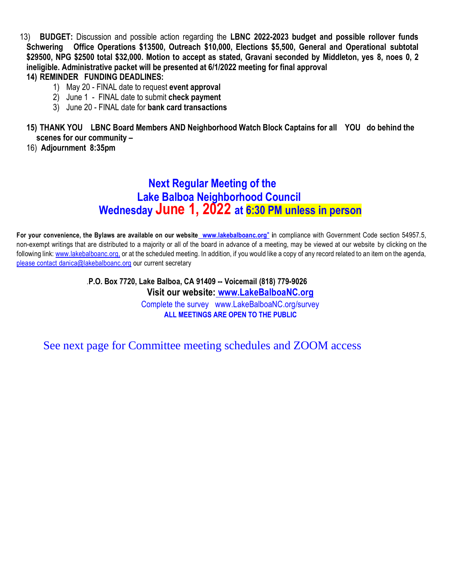13) **BUDGET:** Discussion and possible action regarding the **LBNC 2022-2023 budget and possible rollover funds Schwering Office Operations \$13500, Outreach \$10,000, Elections \$5,500, General and Operational subtotal \$29500, NPG \$2500 total \$32,000. Motion to accept as stated, Gravani seconded by Middleton, yes 8, noes 0, 2 ineligible. Administrative packet will be presented at 6/1/2022 meeting for final approval**

#### **14) REMINDER FUNDING DEADLINES:**

- 1) May 20 FINAL date to request **event approval**
- 2) June 1 FINAL date to submit **check payment**
- 3) June 20 FINAL date for **bank card transactions**
- **15) THANK YOU LBNC Board Members AND Neighborhood Watch Block Captains for all YOU do behind the scenes for our community –**
- 16) **Adjournment 8:35pm**

# **Next Regular Meeting of the Lake Balboa Neighborhood Council Wednesday June 1, 2022 at 6:30 PM unless in person**

**For your convenience, the Bylaws are available on our website www.lakebalboanc.org**" **i**n compliance with Government Code section 54957.5, non-exempt writings that are distributed to a majority or all of the board in advance of a meeting, may be viewed at our website by clicking on the following link: www.lakebalboanc.org, or at the scheduled meeting. In addition, if you would like a copy of any record related to an item on the agenda, please contact danica@lakebalboanc.org our current secretary

> .**P.O. Box 7720, Lake Balboa, CA 91409 -- Voicemail (818) 779-9026 Visit our website: www.LakeBalboaNC.org** Complete the survey www.LakeBalboaNC.org/survey **ALL MEETINGS ARE OPEN TO THE PUBLIC**

See next page for Committee meeting schedules and ZOOM access